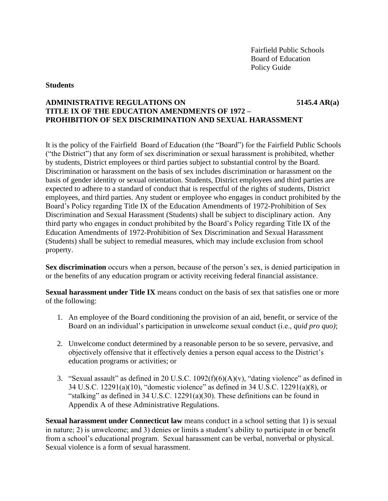#### **Students**

## **ADMINISTRATIVE REGULATIONS ON 5145.4 AR(a) TITLE IX OF THE EDUCATION AMENDMENTS OF 1972 – PROHIBITION OF SEX DISCRIMINATION AND SEXUAL HARASSMENT**

It is the policy of the Fairfield Board of Education (the "Board") for the Fairfield Public Schools ("the District") that any form of sex discrimination or sexual harassment is prohibited, whether by students, District employees or third parties subject to substantial control by the Board. Discrimination or harassment on the basis of sex includes discrimination or harassment on the basis of gender identity or sexual orientation. Students, District employees and third parties are expected to adhere to a standard of conduct that is respectful of the rights of students, District employees, and third parties. Any student or employee who engages in conduct prohibited by the Board's Policy regarding Title IX of the Education Amendments of 1972-Prohibition of Sex Discrimination and Sexual Harassment (Students) shall be subject to disciplinary action. Any third party who engages in conduct prohibited by the Board's Policy regarding Title IX of the Education Amendments of 1972-Prohibition of Sex Discrimination and Sexual Harassment (Students) shall be subject to remedial measures, which may include exclusion from school property.

**Sex discrimination** occurs when a person, because of the person's sex, is denied participation in or the benefits of any education program or activity receiving federal financial assistance.

**Sexual harassment under Title IX** means conduct on the basis of sex that satisfies one or more of the following:

- 1. An employee of the Board conditioning the provision of an aid, benefit, or service of the Board on an individual's participation in unwelcome sexual conduct (i.e., *quid pro quo)*;
- 2. Unwelcome conduct determined by a reasonable person to be so severe, pervasive, and objectively offensive that it effectively denies a person equal access to the District's education programs or activities; or
- 3. "Sexual assault" as defined in 20 U.S.C.  $1092(f)(6)(A)(v)$ , "dating violence" as defined in 34 U.S.C. 12291(a)(10), "domestic violence" as defined in 34 U.S.C. 12291(a)(8), or "stalking" as defined in 34 U.S.C.  $12291(a)(30)$ . These definitions can be found in Appendix A of these Administrative Regulations.

**Sexual harassment under Connecticut law** means conduct in a school setting that 1) is sexual in nature; 2) is unwelcome; and 3) denies or limits a student's ability to participate in or benefit from a school's educational program. Sexual harassment can be verbal, nonverbal or physical. Sexual violence is a form of sexual harassment.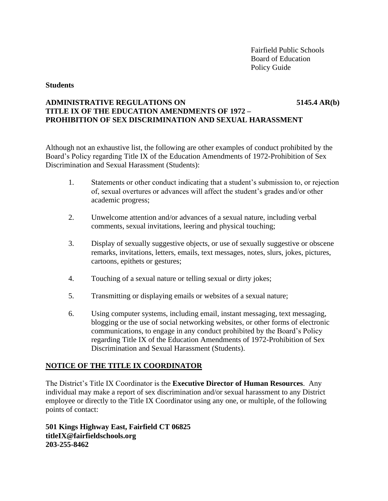#### **Students**

## **ADMINISTRATIVE REGULATIONS ON 5145.4 AR(b) TITLE IX OF THE EDUCATION AMENDMENTS OF 1972 – PROHIBITION OF SEX DISCRIMINATION AND SEXUAL HARASSMENT**

Although not an exhaustive list, the following are other examples of conduct prohibited by the Board's Policy regarding Title IX of the Education Amendments of 1972-Prohibition of Sex Discrimination and Sexual Harassment (Students):

- 1. Statements or other conduct indicating that a student's submission to, or rejection of, sexual overtures or advances will affect the student's grades and/or other academic progress;
- 2. Unwelcome attention and/or advances of a sexual nature, including verbal comments, sexual invitations, leering and physical touching;
- 3. Display of sexually suggestive objects, or use of sexually suggestive or obscene remarks, invitations, letters, emails, text messages, notes, slurs, jokes, pictures, cartoons, epithets or gestures;
- 4. Touching of a sexual nature or telling sexual or dirty jokes;
- 5. Transmitting or displaying emails or websites of a sexual nature;
- 6. Using computer systems, including email, instant messaging, text messaging, blogging or the use of social networking websites, or other forms of electronic communications, to engage in any conduct prohibited by the Board's Policy regarding Title IX of the Education Amendments of 1972-Prohibition of Sex Discrimination and Sexual Harassment (Students).

# **NOTICE OF THE TITLE IX COORDINATOR**

The District's Title IX Coordinator is the **Executive Director of Human Resources**. Any individual may make a report of sex discrimination and/or sexual harassment to any District employee or directly to the Title IX Coordinator using any one, or multiple, of the following points of contact:

**501 Kings Highway East, Fairfield CT 06825 titleIX@fairfieldschools.org 203-255-8462**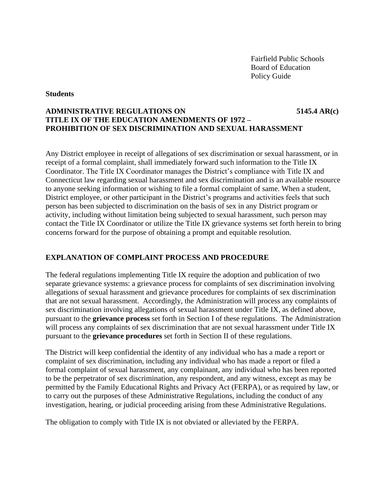#### **Students**

# **ADMINISTRATIVE REGULATIONS ON 5145.4 AR(c) TITLE IX OF THE EDUCATION AMENDMENTS OF 1972 – PROHIBITION OF SEX DISCRIMINATION AND SEXUAL HARASSMENT**

Any District employee in receipt of allegations of sex discrimination or sexual harassment, or in receipt of a formal complaint, shall immediately forward such information to the Title IX Coordinator. The Title IX Coordinator manages the District's compliance with Title IX and Connecticut law regarding sexual harassment and sex discrimination and is an available resource to anyone seeking information or wishing to file a formal complaint of same. When a student, District employee, or other participant in the District's programs and activities feels that such person has been subjected to discrimination on the basis of sex in any District program or activity, including without limitation being subjected to sexual harassment, such person may contact the Title IX Coordinator or utilize the Title IX grievance systems set forth herein to bring concerns forward for the purpose of obtaining a prompt and equitable resolution.

## **EXPLANATION OF COMPLAINT PROCESS AND PROCEDURE**

The federal regulations implementing Title IX require the adoption and publication of two separate grievance systems: a grievance process for complaints of sex discrimination involving allegations of sexual harassment and grievance procedures for complaints of sex discrimination that are not sexual harassment. Accordingly, the Administration will process any complaints of sex discrimination involving allegations of sexual harassment under Title IX, as defined above, pursuant to the **grievance process** set forth in Section I of these regulations. The Administration will process any complaints of sex discrimination that are not sexual harassment under Title IX pursuant to the **grievance procedures** set forth in Section II of these regulations.

The District will keep confidential the identity of any individual who has a made a report or complaint of sex discrimination, including any individual who has made a report or filed a formal complaint of sexual harassment, any complainant, any individual who has been reported to be the perpetrator of sex discrimination, any respondent, and any witness, except as may be permitted by the Family Educational Rights and Privacy Act (FERPA), or as required by law, or to carry out the purposes of these Administrative Regulations, including the conduct of any investigation, hearing, or judicial proceeding arising from these Administrative Regulations.

The obligation to comply with Title IX is not obviated or alleviated by the FERPA.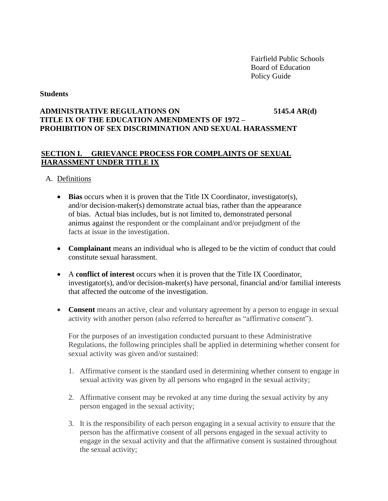### **Students**

# **ADMINISTRATIVE REGULATIONS ON 5145.4 AR(d) TITLE IX OF THE EDUCATION AMENDMENTS OF 1972 – PROHIBITION OF SEX DISCRIMINATION AND SEXUAL HARASSMENT**

# **SECTION I. GRIEVANCE PROCESS FOR COMPLAINTS OF SEXUAL HARASSMENT UNDER TITLE IX**

## A. Definitions

- **Bias** occurs when it is proven that the Title IX Coordinator, investigator(s), and/or decision-maker(s) demonstrate actual bias, rather than the appearance of bias. Actual bias includes, but is not limited to, demonstrated personal animus against the respondent or the complainant and/or prejudgment of the facts at issue in the investigation.
- **Complainant** means an individual who is alleged to be the victim of conduct that could constitute sexual harassment.
- A **conflict of interest** occurs when it is proven that the Title IX Coordinator, investigator(s), and/or decision-maker(s) have personal, financial and/or familial interests that affected the outcome of the investigation.
- **Consent** means an active, clear and voluntary agreement by a person to engage in sexual activity with another person (also referred to hereafter as "affirmative consent").

For the purposes of an investigation conducted pursuant to these Administrative Regulations, the following principles shall be applied in determining whether consent for sexual activity was given and/or sustained:

- 1. Affirmative consent is the standard used in determining whether consent to engage in sexual activity was given by all persons who engaged in the sexual activity;
- 2. Affirmative consent may be revoked at any time during the sexual activity by any person engaged in the sexual activity;
- 3. It is the responsibility of each person engaging in a sexual activity to ensure that the person has the affirmative consent of all persons engaged in the sexual activity to engage in the sexual activity and that the affirmative consent is sustained throughout the sexual activity;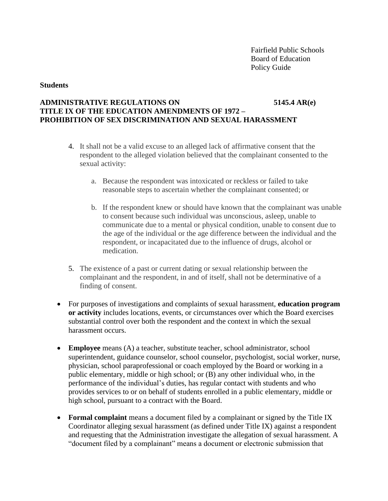#### **Students**

# **ADMINISTRATIVE REGULATIONS ON 5145.4 AR(e) TITLE IX OF THE EDUCATION AMENDMENTS OF 1972 – PROHIBITION OF SEX DISCRIMINATION AND SEXUAL HARASSMENT**

- 4. It shall not be a valid excuse to an alleged lack of affirmative consent that the respondent to the alleged violation believed that the complainant consented to the sexual activity:
	- a. Because the respondent was intoxicated or reckless or failed to take reasonable steps to ascertain whether the complainant consented; or
	- b. If the respondent knew or should have known that the complainant was unable to consent because such individual was unconscious, asleep, unable to communicate due to a mental or physical condition, unable to consent due to the age of the individual or the age difference between the individual and the respondent, or incapacitated due to the influence of drugs, alcohol or medication.
- 5. The existence of a past or current dating or sexual relationship between the complainant and the respondent, in and of itself, shall not be determinative of a finding of consent.
- For purposes of investigations and complaints of sexual harassment, **education program or activity** includes locations, events, or circumstances over which the Board exercises substantial control over both the respondent and the context in which the sexual harassment occurs.
- **Employee** means (A) a teacher, substitute teacher, school administrator, school superintendent, guidance counselor, school counselor, psychologist, social worker, nurse, physician, school paraprofessional or coach employed by the Board or working in a public elementary, middle or high school; or (B) any other individual who, in the performance of the individual's duties, has regular contact with students and who provides services to or on behalf of students enrolled in a public elementary, middle or high school, pursuant to a contract with the Board.
- **Formal complaint** means a document filed by a complainant or signed by the Title IX Coordinator alleging sexual harassment (as defined under Title IX) against a respondent and requesting that the Administration investigate the allegation of sexual harassment. A "document filed by a complainant" means a document or electronic submission that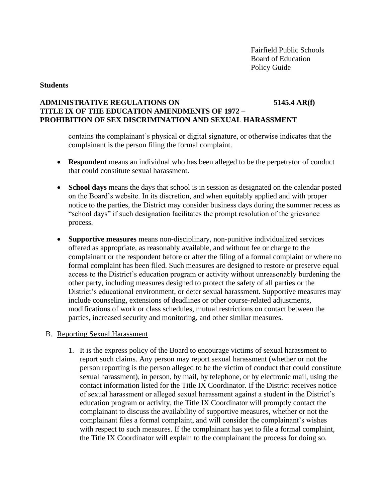### **Students**

## **ADMINISTRATIVE REGULATIONS ON 5145.4 AR(f) TITLE IX OF THE EDUCATION AMENDMENTS OF 1972 – PROHIBITION OF SEX DISCRIMINATION AND SEXUAL HARASSMENT**

contains the complainant's physical or digital signature, or otherwise indicates that the complainant is the person filing the formal complaint.

- **Respondent** means an individual who has been alleged to be the perpetrator of conduct that could constitute sexual harassment.
- **School days** means the days that school is in session as designated on the calendar posted on the Board's website. In its discretion, and when equitably applied and with proper notice to the parties, the District may consider business days during the summer recess as "school days" if such designation facilitates the prompt resolution of the grievance process.
- **Supportive measures** means non-disciplinary, non-punitive individualized services offered as appropriate, as reasonably available, and without fee or charge to the complainant or the respondent before or after the filing of a formal complaint or where no formal complaint has been filed. Such measures are designed to restore or preserve equal access to the District's education program or activity without unreasonably burdening the other party, including measures designed to protect the safety of all parties or the District's educational environment, or deter sexual harassment. Supportive measures may include counseling, extensions of deadlines or other course-related adjustments, modifications of work or class schedules, mutual restrictions on contact between the parties, increased security and monitoring, and other similar measures.

### B. Reporting Sexual Harassment

1. It is the express policy of the Board to encourage victims of sexual harassment to report such claims. Any person may report sexual harassment (whether or not the person reporting is the person alleged to be the victim of conduct that could constitute sexual harassment), in person, by mail, by telephone, or by electronic mail, using the contact information listed for the Title IX Coordinator. If the District receives notice of sexual harassment or alleged sexual harassment against a student in the District's education program or activity, the Title IX Coordinator will promptly contact the complainant to discuss the availability of supportive measures, whether or not the complainant files a formal complaint, and will consider the complainant's wishes with respect to such measures. If the complainant has yet to file a formal complaint, the Title IX Coordinator will explain to the complainant the process for doing so.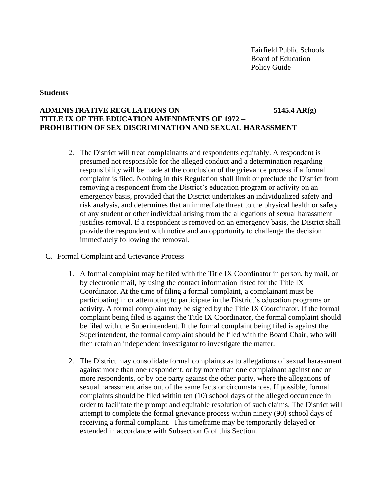#### **Students**

# **ADMINISTRATIVE REGULATIONS ON 5145.4 AR(g) TITLE IX OF THE EDUCATION AMENDMENTS OF 1972 – PROHIBITION OF SEX DISCRIMINATION AND SEXUAL HARASSMENT**

2. The District will treat complainants and respondents equitably. A respondent is presumed not responsible for the alleged conduct and a determination regarding responsibility will be made at the conclusion of the grievance process if a formal complaint is filed. Nothing in this Regulation shall limit or preclude the District from removing a respondent from the District's education program or activity on an emergency basis, provided that the District undertakes an individualized safety and risk analysis, and determines that an immediate threat to the physical health or safety of any student or other individual arising from the allegations of sexual harassment justifies removal. If a respondent is removed on an emergency basis, the District shall provide the respondent with notice and an opportunity to challenge the decision immediately following the removal.

### C. Formal Complaint and Grievance Process

- 1. A formal complaint may be filed with the Title IX Coordinator in person, by mail, or by electronic mail, by using the contact information listed for the Title IX Coordinator. At the time of filing a formal complaint, a complainant must be participating in or attempting to participate in the District's education programs or activity. A formal complaint may be signed by the Title IX Coordinator. If the formal complaint being filed is against the Title IX Coordinator, the formal complaint should be filed with the Superintendent. If the formal complaint being filed is against the Superintendent, the formal complaint should be filed with the Board Chair, who will then retain an independent investigator to investigate the matter.
- 2. The District may consolidate formal complaints as to allegations of sexual harassment against more than one respondent, or by more than one complainant against one or more respondents, or by one party against the other party, where the allegations of sexual harassment arise out of the same facts or circumstances. If possible, formal complaints should be filed within ten (10) school days of the alleged occurrence in order to facilitate the prompt and equitable resolution of such claims. The District will attempt to complete the formal grievance process within ninety (90) school days of receiving a formal complaint. This timeframe may be temporarily delayed or extended in accordance with Subsection G of this Section.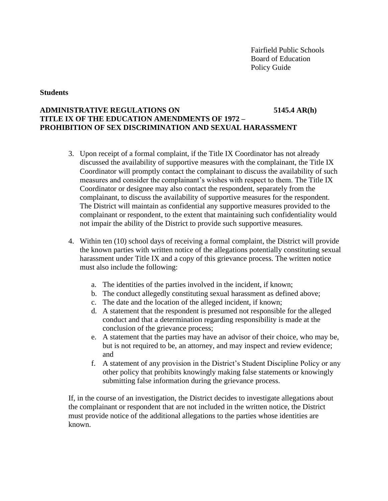#### **Students**

# **ADMINISTRATIVE REGULATIONS ON 5145.4 AR(h) TITLE IX OF THE EDUCATION AMENDMENTS OF 1972 – PROHIBITION OF SEX DISCRIMINATION AND SEXUAL HARASSMENT**

- 3. Upon receipt of a formal complaint, if the Title IX Coordinator has not already discussed the availability of supportive measures with the complainant, the Title IX Coordinator will promptly contact the complainant to discuss the availability of such measures and consider the complainant's wishes with respect to them. The Title IX Coordinator or designee may also contact the respondent, separately from the complainant, to discuss the availability of supportive measures for the respondent. The District will maintain as confidential any supportive measures provided to the complainant or respondent, to the extent that maintaining such confidentiality would not impair the ability of the District to provide such supportive measures.
- 4. Within ten (10) school days of receiving a formal complaint, the District will provide the known parties with written notice of the allegations potentially constituting sexual harassment under Title IX and a copy of this grievance process. The written notice must also include the following:
	- a. The identities of the parties involved in the incident, if known;
	- b. The conduct allegedly constituting sexual harassment as defined above;
	- c. The date and the location of the alleged incident, if known;
	- d. A statement that the respondent is presumed not responsible for the alleged conduct and that a determination regarding responsibility is made at the conclusion of the grievance process;
	- e. A statement that the parties may have an advisor of their choice, who may be, but is not required to be, an attorney, and may inspect and review evidence; and
	- f. A statement of any provision in the District's Student Discipline Policy or any other policy that prohibits knowingly making false statements or knowingly submitting false information during the grievance process.

If, in the course of an investigation, the District decides to investigate allegations about the complainant or respondent that are not included in the written notice, the District must provide notice of the additional allegations to the parties whose identities are known.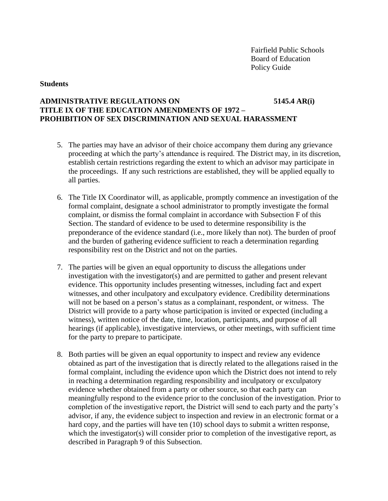#### **Students**

## **ADMINISTRATIVE REGULATIONS ON 5145.4 AR(i) TITLE IX OF THE EDUCATION AMENDMENTS OF 1972 – PROHIBITION OF SEX DISCRIMINATION AND SEXUAL HARASSMENT**

- 5. The parties may have an advisor of their choice accompany them during any grievance proceeding at which the party's attendance is required. The District may, in its discretion, establish certain restrictions regarding the extent to which an advisor may participate in the proceedings. If any such restrictions are established, they will be applied equally to all parties.
- 6. The Title IX Coordinator will, as applicable, promptly commence an investigation of the formal complaint, designate a school administrator to promptly investigate the formal complaint, or dismiss the formal complaint in accordance with Subsection F of this Section. The standard of evidence to be used to determine responsibility is the preponderance of the evidence standard (i.e., more likely than not). The burden of proof and the burden of gathering evidence sufficient to reach a determination regarding responsibility rest on the District and not on the parties.
- 7. The parties will be given an equal opportunity to discuss the allegations under investigation with the investigator(s) and are permitted to gather and present relevant evidence. This opportunity includes presenting witnesses, including fact and expert witnesses, and other inculpatory and exculpatory evidence. Credibility determinations will not be based on a person's status as a complainant, respondent, or witness. The District will provide to a party whose participation is invited or expected (including a witness), written notice of the date, time, location, participants, and purpose of all hearings (if applicable), investigative interviews, or other meetings, with sufficient time for the party to prepare to participate.
- 8. Both parties will be given an equal opportunity to inspect and review any evidence obtained as part of the investigation that is directly related to the allegations raised in the formal complaint, including the evidence upon which the District does not intend to rely in reaching a determination regarding responsibility and inculpatory or exculpatory evidence whether obtained from a party or other source, so that each party can meaningfully respond to the evidence prior to the conclusion of the investigation. Prior to completion of the investigative report, the District will send to each party and the party's advisor, if any, the evidence subject to inspection and review in an electronic format or a hard copy, and the parties will have ten (10) school days to submit a written response, which the investigator(s) will consider prior to completion of the investigative report, as described in Paragraph 9 of this Subsection.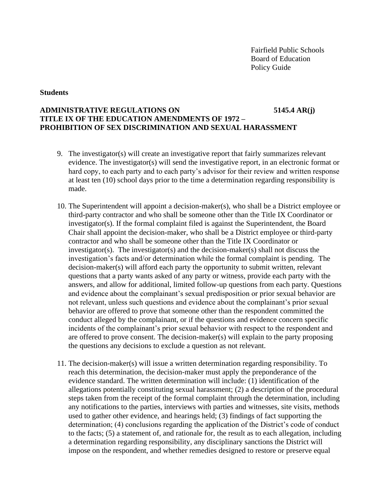#### **Students**

## **ADMINISTRATIVE REGULATIONS ON 5145.4 AR(j) TITLE IX OF THE EDUCATION AMENDMENTS OF 1972 – PROHIBITION OF SEX DISCRIMINATION AND SEXUAL HARASSMENT**

- 9. The investigator(s) will create an investigative report that fairly summarizes relevant evidence. The investigator(s) will send the investigative report, in an electronic format or hard copy, to each party and to each party's advisor for their review and written response at least ten (10) school days prior to the time a determination regarding responsibility is made.
- 10. The Superintendent will appoint a decision-maker(s), who shall be a District employee or third-party contractor and who shall be someone other than the Title IX Coordinator or investigator(s). If the formal complaint filed is against the Superintendent, the Board Chair shall appoint the decision-maker, who shall be a District employee or third-party contractor and who shall be someone other than the Title IX Coordinator or investigator(s). The investigator(s) and the decision-maker(s) shall not discuss the investigation's facts and/or determination while the formal complaint is pending. The decision-maker(s) will afford each party the opportunity to submit written, relevant questions that a party wants asked of any party or witness, provide each party with the answers, and allow for additional, limited follow-up questions from each party. Questions and evidence about the complainant's sexual predisposition or prior sexual behavior are not relevant, unless such questions and evidence about the complainant's prior sexual behavior are offered to prove that someone other than the respondent committed the conduct alleged by the complainant, or if the questions and evidence concern specific incidents of the complainant's prior sexual behavior with respect to the respondent and are offered to prove consent. The decision-maker $(s)$  will explain to the party proposing the questions any decisions to exclude a question as not relevant.
- 11. The decision-maker(s) will issue a written determination regarding responsibility. To reach this determination, the decision-maker must apply the preponderance of the evidence standard. The written determination will include: (1) identification of the allegations potentially constituting sexual harassment; (2) a description of the procedural steps taken from the receipt of the formal complaint through the determination, including any notifications to the parties, interviews with parties and witnesses, site visits, methods used to gather other evidence, and hearings held; (3) findings of fact supporting the determination; (4) conclusions regarding the application of the District's code of conduct to the facts; (5) a statement of, and rationale for, the result as to each allegation, including a determination regarding responsibility, any disciplinary sanctions the District will impose on the respondent, and whether remedies designed to restore or preserve equal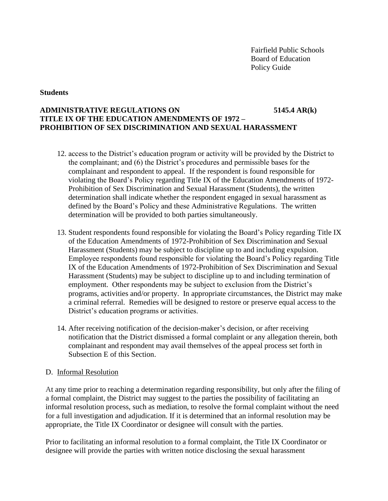#### **Students**

# **ADMINISTRATIVE REGULATIONS ON 5145.4 AR(k) TITLE IX OF THE EDUCATION AMENDMENTS OF 1972 – PROHIBITION OF SEX DISCRIMINATION AND SEXUAL HARASSMENT**

- 12. access to the District's education program or activity will be provided by the District to the complainant; and (6) the District's procedures and permissible bases for the complainant and respondent to appeal. If the respondent is found responsible for violating the Board's Policy regarding Title IX of the Education Amendments of 1972- Prohibition of Sex Discrimination and Sexual Harassment (Students), the written determination shall indicate whether the respondent engaged in sexual harassment as defined by the Board's Policy and these Administrative Regulations. The written determination will be provided to both parties simultaneously.
- 13. Student respondents found responsible for violating the Board's Policy regarding Title IX of the Education Amendments of 1972-Prohibition of Sex Discrimination and Sexual Harassment (Students) may be subject to discipline up to and including expulsion. Employee respondents found responsible for violating the Board's Policy regarding Title IX of the Education Amendments of 1972-Prohibition of Sex Discrimination and Sexual Harassment (Students) may be subject to discipline up to and including termination of employment. Other respondents may be subject to exclusion from the District's programs, activities and/or property. In appropriate circumstances, the District may make a criminal referral. Remedies will be designed to restore or preserve equal access to the District's education programs or activities.
- 14. After receiving notification of the decision-maker's decision, or after receiving notification that the District dismissed a formal complaint or any allegation therein, both complainant and respondent may avail themselves of the appeal process set forth in Subsection E of this Section.

### D. Informal Resolution

At any time prior to reaching a determination regarding responsibility, but only after the filing of a formal complaint, the District may suggest to the parties the possibility of facilitating an informal resolution process, such as mediation, to resolve the formal complaint without the need for a full investigation and adjudication. If it is determined that an informal resolution may be appropriate, the Title IX Coordinator or designee will consult with the parties.

Prior to facilitating an informal resolution to a formal complaint, the Title IX Coordinator or designee will provide the parties with written notice disclosing the sexual harassment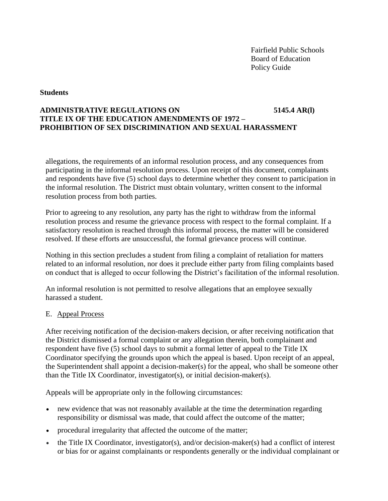### **Students**

# **ADMINISTRATIVE REGULATIONS ON 5145.4 AR(l) TITLE IX OF THE EDUCATION AMENDMENTS OF 1972 – PROHIBITION OF SEX DISCRIMINATION AND SEXUAL HARASSMENT**

allegations, the requirements of an informal resolution process, and any consequences from participating in the informal resolution process. Upon receipt of this document, complainants and respondents have five (5) school days to determine whether they consent to participation in the informal resolution. The District must obtain voluntary, written consent to the informal resolution process from both parties.

Prior to agreeing to any resolution, any party has the right to withdraw from the informal resolution process and resume the grievance process with respect to the formal complaint. If a satisfactory resolution is reached through this informal process, the matter will be considered resolved. If these efforts are unsuccessful, the formal grievance process will continue.

Nothing in this section precludes a student from filing a complaint of retaliation for matters related to an informal resolution, nor does it preclude either party from filing complaints based on conduct that is alleged to occur following the District's facilitation of the informal resolution.

An informal resolution is not permitted to resolve allegations that an employee sexually harassed a student.

## E. Appeal Process

After receiving notification of the decision-makers decision, or after receiving notification that the District dismissed a formal complaint or any allegation therein, both complainant and respondent have five (5) school days to submit a formal letter of appeal to the Title IX Coordinator specifying the grounds upon which the appeal is based. Upon receipt of an appeal, the Superintendent shall appoint a decision-maker(s) for the appeal, who shall be someone other than the Title IX Coordinator, investigator(s), or initial decision-maker(s).

Appeals will be appropriate only in the following circumstances:

- new evidence that was not reasonably available at the time the determination regarding responsibility or dismissal was made, that could affect the outcome of the matter;
- procedural irregularity that affected the outcome of the matter;
- the Title IX Coordinator, investigator(s), and/or decision-maker(s) had a conflict of interest or bias for or against complainants or respondents generally or the individual complainant or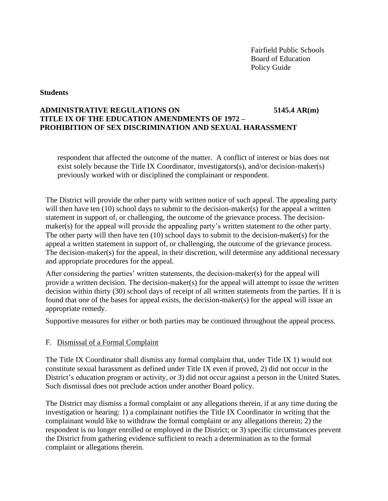### **Students**

# **ADMINISTRATIVE REGULATIONS ON 5145.4 AR(m) TITLE IX OF THE EDUCATION AMENDMENTS OF 1972 – PROHIBITION OF SEX DISCRIMINATION AND SEXUAL HARASSMENT**

respondent that affected the outcome of the matter. A conflict of interest or bias does not exist solely because the Title IX Coordinator, investigators(s), and/or decision-maker(s) previously worked with or disciplined the complainant or respondent.

The District will provide the other party with written notice of such appeal. The appealing party will then have ten (10) school days to submit to the decision-maker(s) for the appeal a written statement in support of, or challenging, the outcome of the grievance process. The decisionmaker(s) for the appeal will provide the appealing party's written statement to the other party. The other party will then have ten (10) school days to submit to the decision-maker(s) for the appeal a written statement in support of, or challenging, the outcome of the grievance process. The decision-maker(s) for the appeal, in their discretion, will determine any additional necessary and appropriate procedures for the appeal.

After considering the parties' written statements, the decision-maker(s) for the appeal will provide a written decision. The decision-maker(s) for the appeal will attempt to issue the written decision within thirty (30) school days of receipt of all written statements from the parties. If it is found that one of the bases for appeal exists, the decision-maker(s) for the appeal will issue an appropriate remedy.

Supportive measures for either or both parties may be continued throughout the appeal process.

## F. Dismissal of a Formal Complaint

The Title IX Coordinator shall dismiss any formal complaint that, under Title IX 1) would not constitute sexual harassment as defined under Title IX even if proved, 2) did not occur in the District's education program or activity, or 3) did not occur against a person in the United States. Such dismissal does not preclude action under another Board policy.

The District may dismiss a formal complaint or any allegations therein, if at any time during the investigation or hearing: 1) a complainant notifies the Title IX Coordinator in writing that the complainant would like to withdraw the formal complaint or any allegations therein; 2) the respondent is no longer enrolled or employed in the District; or 3) specific circumstances prevent the District from gathering evidence sufficient to reach a determination as to the formal complaint or allegations therein.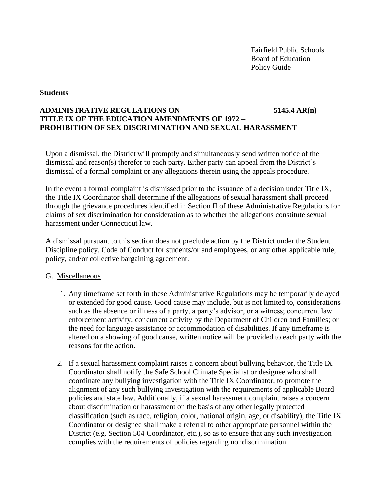### **Students**

# **ADMINISTRATIVE REGULATIONS ON 5145.4 AR(n) TITLE IX OF THE EDUCATION AMENDMENTS OF 1972 – PROHIBITION OF SEX DISCRIMINATION AND SEXUAL HARASSMENT**

Upon a dismissal, the District will promptly and simultaneously send written notice of the dismissal and reason(s) therefor to each party. Either party can appeal from the District's dismissal of a formal complaint or any allegations therein using the appeals procedure.

In the event a formal complaint is dismissed prior to the issuance of a decision under Title IX, the Title IX Coordinator shall determine if the allegations of sexual harassment shall proceed through the grievance procedures identified in Section II of these Administrative Regulations for claims of sex discrimination for consideration as to whether the allegations constitute sexual harassment under Connecticut law.

A dismissal pursuant to this section does not preclude action by the District under the Student Discipline policy, Code of Conduct for students/or and employees, or any other applicable rule, policy, and/or collective bargaining agreement.

### G. Miscellaneous

- 1. Any timeframe set forth in these Administrative Regulations may be temporarily delayed or extended for good cause. Good cause may include, but is not limited to, considerations such as the absence or illness of a party, a party's advisor, or a witness; concurrent law enforcement activity; concurrent activity by the Department of Children and Families; or the need for language assistance or accommodation of disabilities. If any timeframe is altered on a showing of good cause, written notice will be provided to each party with the reasons for the action.
- 2. If a sexual harassment complaint raises a concern about bullying behavior, the Title IX Coordinator shall notify the Safe School Climate Specialist or designee who shall coordinate any bullying investigation with the Title IX Coordinator, to promote the alignment of any such bullying investigation with the requirements of applicable Board policies and state law. Additionally, if a sexual harassment complaint raises a concern about discrimination or harassment on the basis of any other legally protected classification (such as race, religion, color, national origin, age, or disability), the Title IX Coordinator or designee shall make a referral to other appropriate personnel within the District (e.g. Section 504 Coordinator, etc.), so as to ensure that any such investigation complies with the requirements of policies regarding nondiscrimination.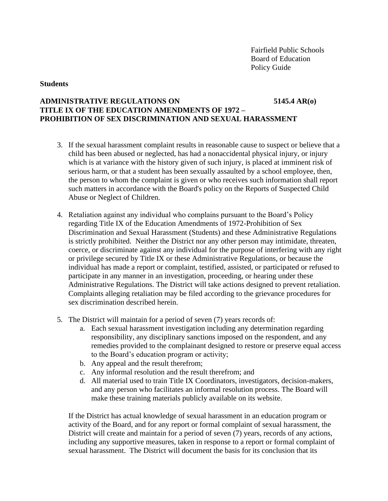#### **Students**

## **ADMINISTRATIVE REGULATIONS ON 5145.4 AR(o) TITLE IX OF THE EDUCATION AMENDMENTS OF 1972 – PROHIBITION OF SEX DISCRIMINATION AND SEXUAL HARASSMENT**

- 3. If the sexual harassment complaint results in reasonable cause to suspect or believe that a child has been abused or neglected, has had a nonaccidental physical injury, or injury which is at variance with the history given of such injury, is placed at imminent risk of serious harm, or that a student has been sexually assaulted by a school employee, then, the person to whom the complaint is given or who receives such information shall report such matters in accordance with the Board's policy on the Reports of Suspected Child Abuse or Neglect of Children.
- 4. Retaliation against any individual who complains pursuant to the Board's Policy regarding Title IX of the Education Amendments of 1972-Prohibition of Sex Discrimination and Sexual Harassment (Students) and these Administrative Regulations is strictly prohibited. Neither the District nor any other person may intimidate, threaten, coerce, or discriminate against any individual for the purpose of interfering with any right or privilege secured by Title IX or these Administrative Regulations, or because the individual has made a report or complaint, testified, assisted, or participated or refused to participate in any manner in an investigation, proceeding, or hearing under these Administrative Regulations. The District will take actions designed to prevent retaliation. Complaints alleging retaliation may be filed according to the grievance procedures for sex discrimination described herein.
- 5. The District will maintain for a period of seven (7) years records of:
	- a. Each sexual harassment investigation including any determination regarding responsibility, any disciplinary sanctions imposed on the respondent, and any remedies provided to the complainant designed to restore or preserve equal access to the Board's education program or activity;
	- b. Any appeal and the result therefrom;
	- c. Any informal resolution and the result therefrom; and
	- d. All material used to train Title IX Coordinators, investigators, decision-makers, and any person who facilitates an informal resolution process. The Board will make these training materials publicly available on its website.

If the District has actual knowledge of sexual harassment in an education program or activity of the Board, and for any report or formal complaint of sexual harassment, the District will create and maintain for a period of seven (7) years, records of any actions, including any supportive measures, taken in response to a report or formal complaint of sexual harassment. The District will document the basis for its conclusion that its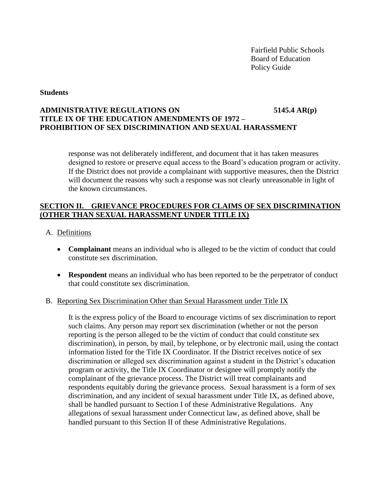#### **Students**

# **ADMINISTRATIVE REGULATIONS ON 5145.4 AR(p) TITLE IX OF THE EDUCATION AMENDMENTS OF 1972 – PROHIBITION OF SEX DISCRIMINATION AND SEXUAL HARASSMENT**

response was not deliberately indifferent, and document that it has taken measures designed to restore or preserve equal access to the Board's education program or activity. If the District does not provide a complainant with supportive measures, then the District will document the reasons why such a response was not clearly unreasonable in light of the known circumstances.

## **SECTION II. GRIEVANCE PROCEDURES FOR CLAIMS OF SEX DISCRIMINATION (OTHER THAN SEXUAL HARASSMENT UNDER TITLE IX)**

- A. Definitions
	- **Complainant** means an individual who is alleged to be the victim of conduct that could constitute sex discrimination.
	- **Respondent** means an individual who has been reported to be the perpetrator of conduct that could constitute sex discrimination.

### B. Reporting Sex Discrimination Other than Sexual Harassment under Title IX

It is the express policy of the Board to encourage victims of sex discrimination to report such claims. Any person may report sex discrimination (whether or not the person reporting is the person alleged to be the victim of conduct that could constitute sex discrimination), in person, by mail, by telephone, or by electronic mail, using the contact information listed for the Title IX Coordinator. If the District receives notice of sex discrimination or alleged sex discrimination against a student in the District's education program or activity, the Title IX Coordinator or designee will promptly notify the complainant of the grievance process. The District will treat complainants and respondents equitably during the grievance process. Sexual harassment is a form of sex discrimination, and any incident of sexual harassment under Title IX, as defined above, shall be handled pursuant to Section I of these Administrative Regulations. Any allegations of sexual harassment under Connecticut law, as defined above, shall be handled pursuant to this Section II of these Administrative Regulations.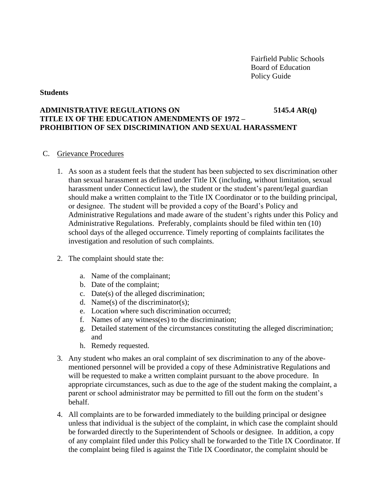#### **Students**

# **ADMINISTRATIVE REGULATIONS ON 5145.4 AR(q) TITLE IX OF THE EDUCATION AMENDMENTS OF 1972 – PROHIBITION OF SEX DISCRIMINATION AND SEXUAL HARASSMENT**

### C. Grievance Procedures

- 1. As soon as a student feels that the student has been subjected to sex discrimination other than sexual harassment as defined under Title IX (including, without limitation, sexual harassment under Connecticut law), the student or the student's parent/legal guardian should make a written complaint to the Title IX Coordinator or to the building principal, or designee. The student will be provided a copy of the Board's Policy and Administrative Regulations and made aware of the student's rights under this Policy and Administrative Regulations. Preferably, complaints should be filed within ten (10) school days of the alleged occurrence. Timely reporting of complaints facilitates the investigation and resolution of such complaints.
- 2. The complaint should state the:
	- a. Name of the complainant;
	- b. Date of the complaint;
	- c. Date(s) of the alleged discrimination;
	- d. Name(s) of the discriminator(s);
	- e. Location where such discrimination occurred;
	- f. Names of any witness(es) to the discrimination;
	- g. Detailed statement of the circumstances constituting the alleged discrimination; and
	- h. Remedy requested.
- 3. Any student who makes an oral complaint of sex discrimination to any of the abovementioned personnel will be provided a copy of these Administrative Regulations and will be requested to make a written complaint pursuant to the above procedure. In appropriate circumstances, such as due to the age of the student making the complaint, a parent or school administrator may be permitted to fill out the form on the student's behalf.
- 4. All complaints are to be forwarded immediately to the building principal or designee unless that individual is the subject of the complaint, in which case the complaint should be forwarded directly to the Superintendent of Schools or designee. In addition, a copy of any complaint filed under this Policy shall be forwarded to the Title IX Coordinator. If the complaint being filed is against the Title IX Coordinator, the complaint should be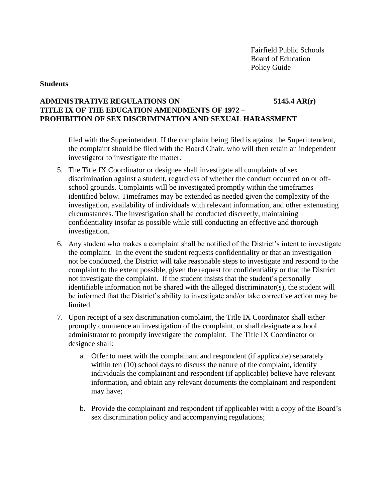### **Students**

## **ADMINISTRATIVE REGULATIONS ON 5145.4 AR(r) TITLE IX OF THE EDUCATION AMENDMENTS OF 1972 – PROHIBITION OF SEX DISCRIMINATION AND SEXUAL HARASSMENT**

filed with the Superintendent. If the complaint being filed is against the Superintendent, the complaint should be filed with the Board Chair, who will then retain an independent investigator to investigate the matter.

- 5. The Title IX Coordinator or designee shall investigate all complaints of sex discrimination against a student, regardless of whether the conduct occurred on or offschool grounds. Complaints will be investigated promptly within the timeframes identified below. Timeframes may be extended as needed given the complexity of the investigation, availability of individuals with relevant information, and other extenuating circumstances. The investigation shall be conducted discreetly, maintaining confidentiality insofar as possible while still conducting an effective and thorough investigation.
- 6. Any student who makes a complaint shall be notified of the District's intent to investigate the complaint. In the event the student requests confidentiality or that an investigation not be conducted, the District will take reasonable steps to investigate and respond to the complaint to the extent possible, given the request for confidentiality or that the District not investigate the complaint. If the student insists that the student's personally identifiable information not be shared with the alleged discriminator(s), the student will be informed that the District's ability to investigate and/or take corrective action may be limited.
- 7. Upon receipt of a sex discrimination complaint, the Title IX Coordinator shall either promptly commence an investigation of the complaint, or shall designate a school administrator to promptly investigate the complaint. The Title IX Coordinator or designee shall:
	- a. Offer to meet with the complainant and respondent (if applicable) separately within ten (10) school days to discuss the nature of the complaint, identify individuals the complainant and respondent (if applicable) believe have relevant information, and obtain any relevant documents the complainant and respondent may have;
	- b. Provide the complainant and respondent (if applicable) with a copy of the Board's sex discrimination policy and accompanying regulations;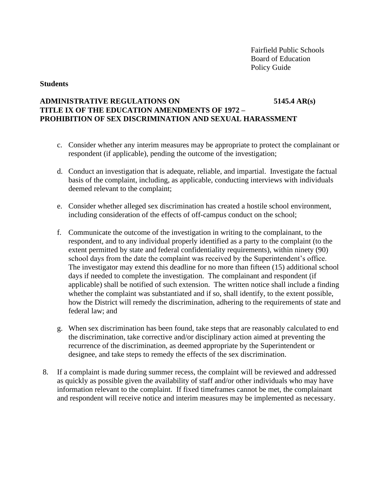#### **Students**

## **ADMINISTRATIVE REGULATIONS ON 5145.4 AR(s) TITLE IX OF THE EDUCATION AMENDMENTS OF 1972 – PROHIBITION OF SEX DISCRIMINATION AND SEXUAL HARASSMENT**

- c. Consider whether any interim measures may be appropriate to protect the complainant or respondent (if applicable), pending the outcome of the investigation;
- d. Conduct an investigation that is adequate, reliable, and impartial. Investigate the factual basis of the complaint, including, as applicable, conducting interviews with individuals deemed relevant to the complaint;
- e. Consider whether alleged sex discrimination has created a hostile school environment, including consideration of the effects of off-campus conduct on the school;
- f. Communicate the outcome of the investigation in writing to the complainant, to the respondent, and to any individual properly identified as a party to the complaint (to the extent permitted by state and federal confidentiality requirements), within ninety (90) school days from the date the complaint was received by the Superintendent's office. The investigator may extend this deadline for no more than fifteen (15) additional school days if needed to complete the investigation. The complainant and respondent (if applicable) shall be notified of such extension. The written notice shall include a finding whether the complaint was substantiated and if so, shall identify, to the extent possible, how the District will remedy the discrimination, adhering to the requirements of state and federal law; and
- g. When sex discrimination has been found, take steps that are reasonably calculated to end the discrimination, take corrective and/or disciplinary action aimed at preventing the recurrence of the discrimination, as deemed appropriate by the Superintendent or designee, and take steps to remedy the effects of the sex discrimination.
- 8. If a complaint is made during summer recess, the complaint will be reviewed and addressed as quickly as possible given the availability of staff and/or other individuals who may have information relevant to the complaint. If fixed timeframes cannot be met, the complainant and respondent will receive notice and interim measures may be implemented as necessary.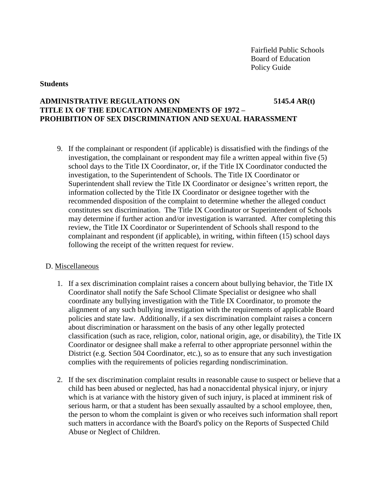#### **Students**

## **ADMINISTRATIVE REGULATIONS ON 5145.4 AR(t) TITLE IX OF THE EDUCATION AMENDMENTS OF 1972 – PROHIBITION OF SEX DISCRIMINATION AND SEXUAL HARASSMENT**

9. If the complainant or respondent (if applicable) is dissatisfied with the findings of the investigation, the complainant or respondent may file a written appeal within five (5) school days to the Title IX Coordinator, or, if the Title IX Coordinator conducted the investigation, to the Superintendent of Schools. The Title IX Coordinator or Superintendent shall review the Title IX Coordinator or designee's written report, the information collected by the Title IX Coordinator or designee together with the recommended disposition of the complaint to determine whether the alleged conduct constitutes sex discrimination. The Title IX Coordinator or Superintendent of Schools may determine if further action and/or investigation is warranted. After completing this review, the Title IX Coordinator or Superintendent of Schools shall respond to the complainant and respondent (if applicable), in writing, within fifteen (15) school days following the receipt of the written request for review.

### D. Miscellaneous

- 1. If a sex discrimination complaint raises a concern about bullying behavior, the Title IX Coordinator shall notify the Safe School Climate Specialist or designee who shall coordinate any bullying investigation with the Title IX Coordinator, to promote the alignment of any such bullying investigation with the requirements of applicable Board policies and state law. Additionally, if a sex discrimination complaint raises a concern about discrimination or harassment on the basis of any other legally protected classification (such as race, religion, color, national origin, age, or disability), the Title IX Coordinator or designee shall make a referral to other appropriate personnel within the District (e.g. Section 504 Coordinator, etc.), so as to ensure that any such investigation complies with the requirements of policies regarding nondiscrimination.
- 2. If the sex discrimination complaint results in reasonable cause to suspect or believe that a child has been abused or neglected, has had a nonaccidental physical injury, or injury which is at variance with the history given of such injury, is placed at imminent risk of serious harm, or that a student has been sexually assaulted by a school employee, then, the person to whom the complaint is given or who receives such information shall report such matters in accordance with the Board's policy on the Reports of Suspected Child Abuse or Neglect of Children.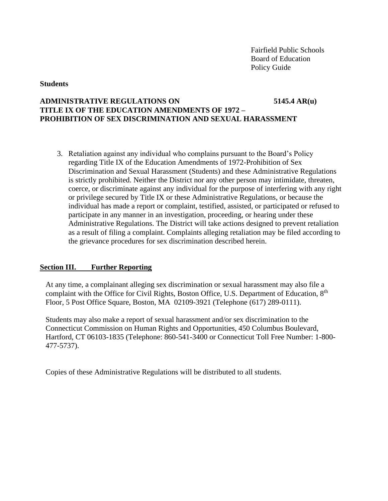### **Students**

## **ADMINISTRATIVE REGULATIONS ON 5145.4 AR(u) TITLE IX OF THE EDUCATION AMENDMENTS OF 1972 – PROHIBITION OF SEX DISCRIMINATION AND SEXUAL HARASSMENT**

3. Retaliation against any individual who complains pursuant to the Board's Policy regarding Title IX of the Education Amendments of 1972-Prohibition of Sex Discrimination and Sexual Harassment (Students) and these Administrative Regulations is strictly prohibited. Neither the District nor any other person may intimidate, threaten, coerce, or discriminate against any individual for the purpose of interfering with any right or privilege secured by Title IX or these Administrative Regulations, or because the individual has made a report or complaint, testified, assisted, or participated or refused to participate in any manner in an investigation, proceeding, or hearing under these Administrative Regulations. The District will take actions designed to prevent retaliation as a result of filing a complaint. Complaints alleging retaliation may be filed according to the grievance procedures for sex discrimination described herein.

### **Section III. Further Reporting**

At any time, a complainant alleging sex discrimination or sexual harassment may also file a complaint with the Office for Civil Rights, Boston Office, U.S. Department of Education, 8<sup>th</sup> Floor, 5 Post Office Square, Boston, MA 02109-3921 (Telephone (617) 289-0111).

Students may also make a report of sexual harassment and/or sex discrimination to the Connecticut Commission on Human Rights and Opportunities, 450 Columbus Boulevard, Hartford, CT 06103-1835 (Telephone: 860-541-3400 or Connecticut Toll Free Number: 1-800- 477-5737).

Copies of these Administrative Regulations will be distributed to all students.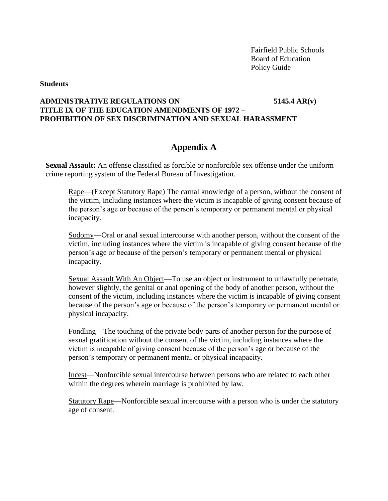**Students**

## **ADMINISTRATIVE REGULATIONS ON 5145.4 AR(v) TITLE IX OF THE EDUCATION AMENDMENTS OF 1972 – PROHIBITION OF SEX DISCRIMINATION AND SEXUAL HARASSMENT**

# **Appendix A**

**Sexual Assault:** An offense classified as forcible or nonforcible sex offense under the uniform crime reporting system of the Federal Bureau of Investigation.

Rape—(Except Statutory Rape) The carnal knowledge of a person, without the consent of the victim, including instances where the victim is incapable of giving consent because of the person's age or because of the person's temporary or permanent mental or physical incapacity.

Sodomy—Oral or anal sexual intercourse with another person, without the consent of the victim, including instances where the victim is incapable of giving consent because of the person's age or because of the person's temporary or permanent mental or physical incapacity.

Sexual Assault With An Object—To use an object or instrument to unlawfully penetrate, however slightly, the genital or anal opening of the body of another person, without the consent of the victim, including instances where the victim is incapable of giving consent because of the person's age or because of the person's temporary or permanent mental or physical incapacity.

Fondling—The touching of the private body parts of another person for the purpose of sexual gratification without the consent of the victim, including instances where the victim is incapable of giving consent because of the person's age or because of the person's temporary or permanent mental or physical incapacity.

Incest—Nonforcible sexual intercourse between persons who are related to each other within the degrees wherein marriage is prohibited by law.

Statutory Rape—Nonforcible sexual intercourse with a person who is under the statutory age of consent.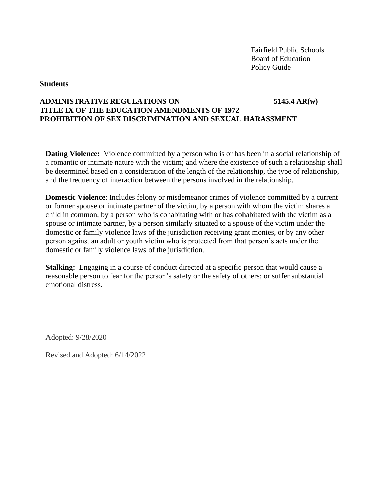### **Students**

## **ADMINISTRATIVE REGULATIONS ON 5145.4 AR(w) TITLE IX OF THE EDUCATION AMENDMENTS OF 1972 – PROHIBITION OF SEX DISCRIMINATION AND SEXUAL HARASSMENT**

**Dating Violence:** Violence committed by a person who is or has been in a social relationship of a romantic or intimate nature with the victim; and where the existence of such a relationship shall be determined based on a consideration of the length of the relationship, the type of relationship, and the frequency of interaction between the persons involved in the relationship.

**Domestic Violence**: Includes felony or misdemeanor crimes of violence committed by a current or former spouse or intimate partner of the victim, by a person with whom the victim shares a child in common, by a person who is cohabitating with or has cohabitated with the victim as a spouse or intimate partner, by a person similarly situated to a spouse of the victim under the domestic or family violence laws of the jurisdiction receiving grant monies, or by any other person against an adult or youth victim who is protected from that person's acts under the domestic or family violence laws of the jurisdiction.

**Stalking:** Engaging in a course of conduct directed at a specific person that would cause a reasonable person to fear for the person's safety or the safety of others; or suffer substantial emotional distress.

Adopted: 9/28/2020

Revised and Adopted: 6/14/2022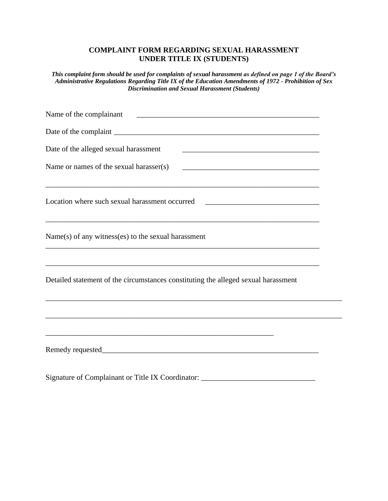# **COMPLAINT FORM REGARDING SEXUAL HARASSMENT UNDER TITLE IX (STUDENTS)**

*This complaint form should be used for complaints of sexual harassment as defined on page 1 of the Board's Administrative Regulations Regarding Title IX of the Education Amendments of 1972 - Prohibition of Sex Discrimination and Sexual Harassment (Students)*

| Name of the complainant<br><u> 2002 - Jan James James Jan James James Jan James James Jan James James Jan Jan James James Jan Jan Jan Jan Ja</u>                        |  |
|-------------------------------------------------------------------------------------------------------------------------------------------------------------------------|--|
|                                                                                                                                                                         |  |
| Date of the alleged sexual harassment                                                                                                                                   |  |
| Name or names of the sexual harasser(s)<br><u> 2008 - Jan James James James James James James James James James James James James James James James James J</u>         |  |
| Location where such sexual harassment occurred _________________________________                                                                                        |  |
| $Name(s)$ of any witness(es) to the sexual harassment                                                                                                                   |  |
| ,我们也不会有什么。""我们的人,我们也不会有什么?""我们的人,我们也不会有什么?""我们的人,我们的人,我们也不会有什么?""我们的人,我们的人,我们的人,我<br>Detailed statement of the circumstances constituting the alleged sexual harassment |  |
|                                                                                                                                                                         |  |
|                                                                                                                                                                         |  |
|                                                                                                                                                                         |  |

Signature of Complainant or Title IX Coordinator: \_\_\_\_\_\_\_\_\_\_\_\_\_\_\_\_\_\_\_\_\_\_\_\_\_\_\_\_\_\_